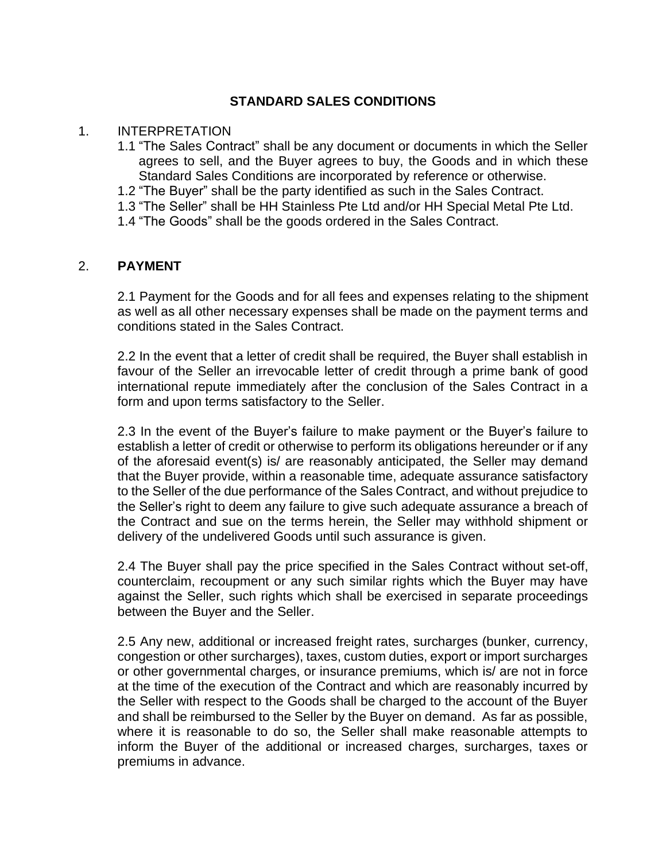# **STANDARD SALES CONDITIONS**

### 1. INTERPRETATION

- 1.1 "The Sales Contract" shall be any document or documents in which the Seller agrees to sell, and the Buyer agrees to buy, the Goods and in which these Standard Sales Conditions are incorporated by reference or otherwise.
- 1.2 "The Buyer" shall be the party identified as such in the Sales Contract.
- 1.3 "The Seller" shall be HH Stainless Pte Ltd and/or HH Special Metal Pte Ltd.
- 1.4 "The Goods" shall be the goods ordered in the Sales Contract.

## 2. **PAYMENT**

2.1 Payment for the Goods and for all fees and expenses relating to the shipment as well as all other necessary expenses shall be made on the payment terms and conditions stated in the Sales Contract.

2.2 In the event that a letter of credit shall be required, the Buyer shall establish in favour of the Seller an irrevocable letter of credit through a prime bank of good international repute immediately after the conclusion of the Sales Contract in a form and upon terms satisfactory to the Seller.

2.3 In the event of the Buyer's failure to make payment or the Buyer's failure to establish a letter of credit or otherwise to perform its obligations hereunder or if any of the aforesaid event(s) is/ are reasonably anticipated, the Seller may demand that the Buyer provide, within a reasonable time, adequate assurance satisfactory to the Seller of the due performance of the Sales Contract, and without prejudice to the Seller's right to deem any failure to give such adequate assurance a breach of the Contract and sue on the terms herein, the Seller may withhold shipment or delivery of the undelivered Goods until such assurance is given.

2.4 The Buyer shall pay the price specified in the Sales Contract without set-off, counterclaim, recoupment or any such similar rights which the Buyer may have against the Seller, such rights which shall be exercised in separate proceedings between the Buyer and the Seller.

2.5 Any new, additional or increased freight rates, surcharges (bunker, currency, congestion or other surcharges), taxes, custom duties, export or import surcharges or other governmental charges, or insurance premiums, which is/ are not in force at the time of the execution of the Contract and which are reasonably incurred by the Seller with respect to the Goods shall be charged to the account of the Buyer and shall be reimbursed to the Seller by the Buyer on demand. As far as possible, where it is reasonable to do so, the Seller shall make reasonable attempts to inform the Buyer of the additional or increased charges, surcharges, taxes or premiums in advance.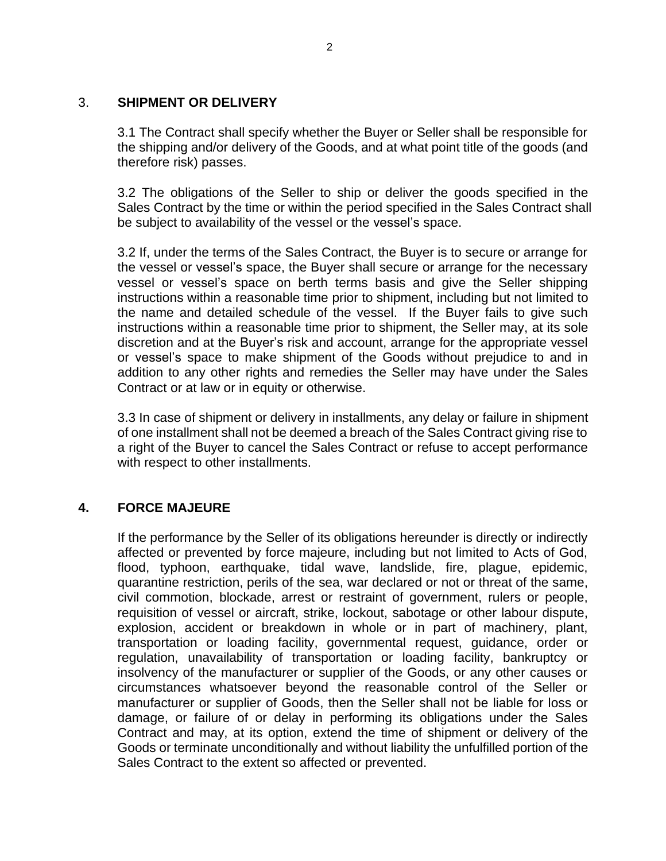## 3. **SHIPMENT OR DELIVERY**

3.1 The Contract shall specify whether the Buyer or Seller shall be responsible for the shipping and/or delivery of the Goods, and at what point title of the goods (and therefore risk) passes.

3.2 The obligations of the Seller to ship or deliver the goods specified in the Sales Contract by the time or within the period specified in the Sales Contract shall be subject to availability of the vessel or the vessel's space.

3.2 If, under the terms of the Sales Contract, the Buyer is to secure or arrange for the vessel or vessel's space, the Buyer shall secure or arrange for the necessary vessel or vessel's space on berth terms basis and give the Seller shipping instructions within a reasonable time prior to shipment, including but not limited to the name and detailed schedule of the vessel. If the Buyer fails to give such instructions within a reasonable time prior to shipment, the Seller may, at its sole discretion and at the Buyer's risk and account, arrange for the appropriate vessel or vessel's space to make shipment of the Goods without prejudice to and in addition to any other rights and remedies the Seller may have under the Sales Contract or at law or in equity or otherwise.

3.3 In case of shipment or delivery in installments, any delay or failure in shipment of one installment shall not be deemed a breach of the Sales Contract giving rise to a right of the Buyer to cancel the Sales Contract or refuse to accept performance with respect to other installments.

## **4. FORCE MAJEURE**

If the performance by the Seller of its obligations hereunder is directly or indirectly affected or prevented by force majeure, including but not limited to Acts of God, flood, typhoon, earthquake, tidal wave, landslide, fire, plague, epidemic, quarantine restriction, perils of the sea, war declared or not or threat of the same, civil commotion, blockade, arrest or restraint of government, rulers or people, requisition of vessel or aircraft, strike, lockout, sabotage or other labour dispute, explosion, accident or breakdown in whole or in part of machinery, plant, transportation or loading facility, governmental request, guidance, order or regulation, unavailability of transportation or loading facility, bankruptcy or insolvency of the manufacturer or supplier of the Goods, or any other causes or circumstances whatsoever beyond the reasonable control of the Seller or manufacturer or supplier of Goods, then the Seller shall not be liable for loss or damage, or failure of or delay in performing its obligations under the Sales Contract and may, at its option, extend the time of shipment or delivery of the Goods or terminate unconditionally and without liability the unfulfilled portion of the Sales Contract to the extent so affected or prevented.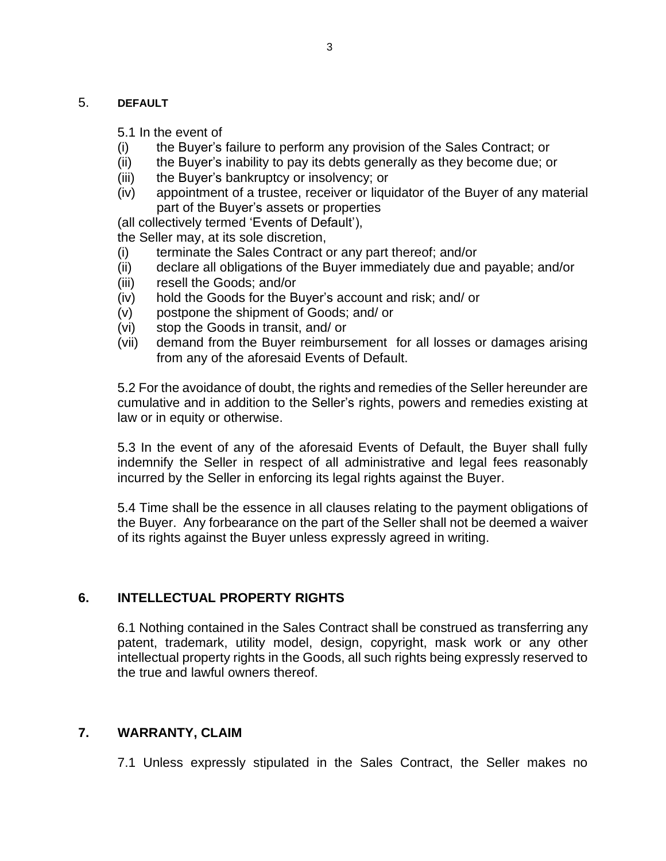#### 5. **DEFAULT**

5.1 In the event of

- (i) the Buyer's failure to perform any provision of the Sales Contract; or
- (ii) the Buyer's inability to pay its debts generally as they become due; or
- (iii) the Buyer's bankruptcy or insolvency; or
- (iv) appointment of a trustee, receiver or liquidator of the Buyer of any material part of the Buyer's assets or properties

(all collectively termed 'Events of Default'),

the Seller may, at its sole discretion,

- (i) terminate the Sales Contract or any part thereof; and/or
- (ii) declare all obligations of the Buyer immediately due and payable; and/or
- (iii) resell the Goods; and/or
- (iv) hold the Goods for the Buyer's account and risk; and/ or
- (v) postpone the shipment of Goods; and/ or
- (vi) stop the Goods in transit, and/ or
- (vii) demand from the Buyer reimbursement for all losses or damages arising from any of the aforesaid Events of Default.

5.2 For the avoidance of doubt, the rights and remedies of the Seller hereunder are cumulative and in addition to the Seller's rights, powers and remedies existing at law or in equity or otherwise.

5.3 In the event of any of the aforesaid Events of Default, the Buyer shall fully indemnify the Seller in respect of all administrative and legal fees reasonably incurred by the Seller in enforcing its legal rights against the Buyer.

5.4 Time shall be the essence in all clauses relating to the payment obligations of the Buyer. Any forbearance on the part of the Seller shall not be deemed a waiver of its rights against the Buyer unless expressly agreed in writing.

# **6. INTELLECTUAL PROPERTY RIGHTS**

6.1 Nothing contained in the Sales Contract shall be construed as transferring any patent, trademark, utility model, design, copyright, mask work or any other intellectual property rights in the Goods, all such rights being expressly reserved to the true and lawful owners thereof.

# **7. WARRANTY, CLAIM**

7.1 Unless expressly stipulated in the Sales Contract, the Seller makes no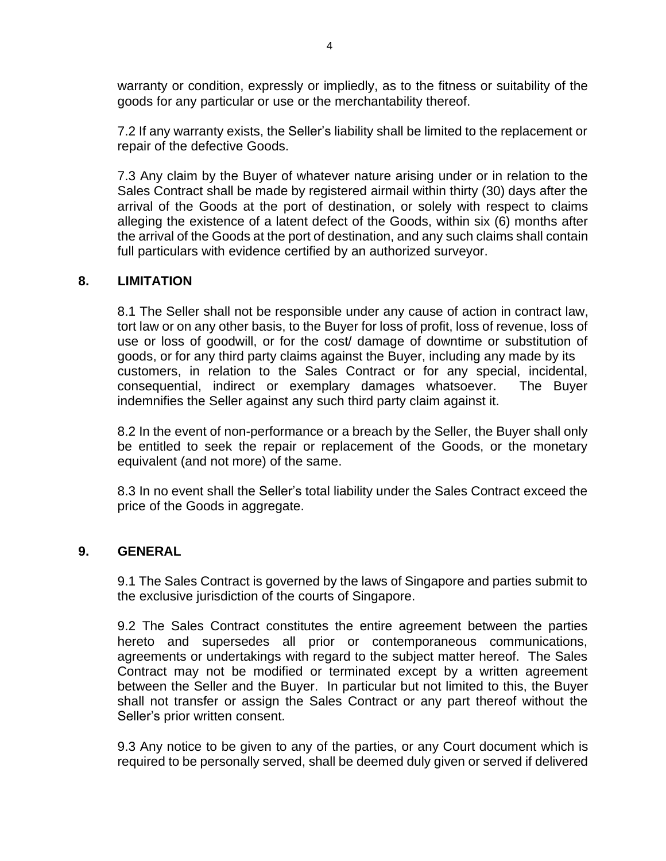warranty or condition, expressly or impliedly, as to the fitness or suitability of the goods for any particular or use or the merchantability thereof.

7.2 If any warranty exists, the Seller's liability shall be limited to the replacement or repair of the defective Goods.

7.3 Any claim by the Buyer of whatever nature arising under or in relation to the Sales Contract shall be made by registered airmail within thirty (30) days after the arrival of the Goods at the port of destination, or solely with respect to claims alleging the existence of a latent defect of the Goods, within six (6) months after the arrival of the Goods at the port of destination, and any such claims shall contain full particulars with evidence certified by an authorized surveyor.

## **8. LIMITATION**

8.1 The Seller shall not be responsible under any cause of action in contract law, tort law or on any other basis, to the Buyer for loss of profit, loss of revenue, loss of use or loss of goodwill, or for the cost/ damage of downtime or substitution of goods, or for any third party claims against the Buyer, including any made by its customers, in relation to the Sales Contract or for any special, incidental, consequential, indirect or exemplary damages whatsoever. The Buyer indemnifies the Seller against any such third party claim against it.

8.2 In the event of non-performance or a breach by the Seller, the Buyer shall only be entitled to seek the repair or replacement of the Goods, or the monetary equivalent (and not more) of the same.

8.3 In no event shall the Seller's total liability under the Sales Contract exceed the price of the Goods in aggregate.

#### **9. GENERAL**

9.1 The Sales Contract is governed by the laws of Singapore and parties submit to the exclusive jurisdiction of the courts of Singapore.

9.2 The Sales Contract constitutes the entire agreement between the parties hereto and supersedes all prior or contemporaneous communications, agreements or undertakings with regard to the subject matter hereof. The Sales Contract may not be modified or terminated except by a written agreement between the Seller and the Buyer. In particular but not limited to this, the Buyer shall not transfer or assign the Sales Contract or any part thereof without the Seller's prior written consent.

9.3 Any notice to be given to any of the parties, or any Court document which is required to be personally served, shall be deemed duly given or served if delivered